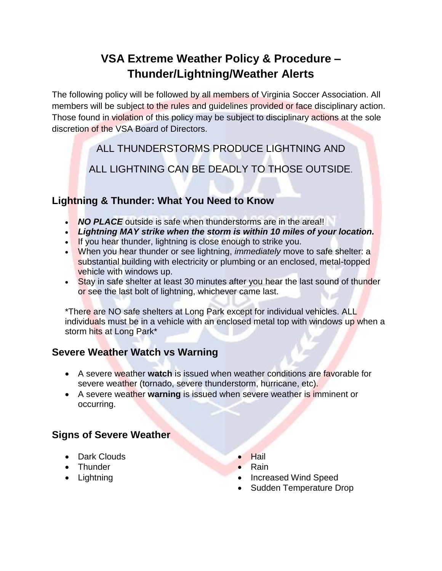## **VSA Extreme Weather Policy & Procedure – Thunder/Lightning/Weather Alerts**

The following policy will be followed by all members of Virginia Soccer Association. All members will be subject to the rules and guidelines provided or face disciplinary action. Those found in violation of this policy may be subject to disciplinary actions at the sole discretion of the VSA Board of Directors.

ALL THUNDERSTORMS PRODUCE LIGHTNING AND

ALL LIGHTNING CAN BE DEADLY TO THOSE OUTSIDE.

### **Lightning & Thunder: What You Need to Know**

- **NO PLACE** outside is safe when thunderstorms are in the area!!
- *Lightning MAY strike when the storm is within 10 miles of your location.*
- If you hear thunder, lightning is close enough to strike you.
- When you hear thunder or see lightning, *immediately* move to safe shelter: a substantial building with electricity or plumbing or an enclosed, metal-topped vehicle with windows up.
- Stay in safe shelter at least 30 minutes after you hear the last sound of thunder or see the last bolt of lightning, whichever came last.

\*There are NO safe shelters at Long Park except for individual vehicles. ALL individuals must be in a vehicle with an enclosed metal top with windows up when a storm hits at Long Park\*

### **Severe Weather Watch vs Warning**

- A severe weather **watch** is issued when weather conditions are favorable for severe weather (tornado, severe thunderstorm, hurricane, etc).
- A severe weather **warning** is issued when severe weather is imminent or occurring.

### **Signs of Severe Weather**

- Dark Clouds
- Thunder
- Lightning
- Hail
- Rain
- Increased Wind Speed
- Sudden Temperature Drop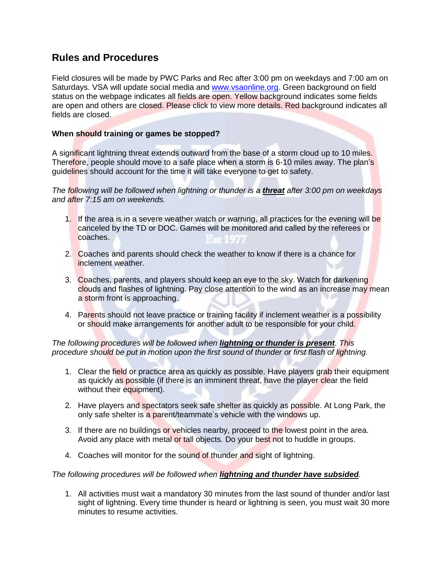#### **Rules and Procedures**

Field closures will be made by PWC Parks and Rec after 3:00 pm on weekdays and 7:00 am on Saturdays. VSA will update social media and [www.vsaonline.org.](http://www.vsaonline.org/) Green background on field status on the webpage indicates all fields are open. Yellow background indicates some fields are open and others are closed. Please click to view more details. Red background indicates all fields are closed.

#### **When should training or games be stopped?**

A significant lightning threat extends outward from the base of a storm cloud up to 10 miles. Therefore, people should move to a safe place when a storm is 6-10 miles away. The plan's guidelines should account for the time it will take everyone to get to safety.

*The following will be followed when lightning or thunder is a threat after 3:00 pm on weekdays and after 7:15 am on weekends.*

- 1. If the area is in a severe weather watch or warning, all practices for the evening will be canceled by the TD or DOC. Games will be monitored and called by the referees or coaches.
- 2. Coaches and parents should check the weather to know if there is a chance for inclement weather.
- 3. Coaches, parents, and players should keep an eye to the sky. Watch for darkening clouds and flashes of lightning. Pay close attention to the wind as an increase may mean a storm front is approaching.
- 4. Parents should not leave practice or training facility if inclement weather is a possibility or should make arrangements for another adult to be responsible for your child.

*The following procedures will be followed when lightning or thunder is present. This procedure should be put in motion upon the first sound of thunder or first flash of lightning.*

- 1. Clear the field or practice area as quickly as possible. Have players grab their equipment as quickly as possible (if there is an imminent threat, have the player clear the field without their equipment).
- 2. Have players and spectators seek safe shelter as quickly as possible. At Long Park, the only safe shelter is a parent/teammate's vehicle with the windows up.
- 3. If there are no buildings or vehicles nearby, proceed to the lowest point in the area. Avoid any place with metal or tall objects. Do your best not to huddle in groups.
- 4. Coaches will monitor for the sound of thunder and sight of lightning.

*The following procedures will be followed when lightning and thunder have subsided.*

1. All activities must wait a mandatory 30 minutes from the last sound of thunder and/or last sight of lightning. Every time thunder is heard or lightning is seen, you must wait 30 more minutes to resume activities.